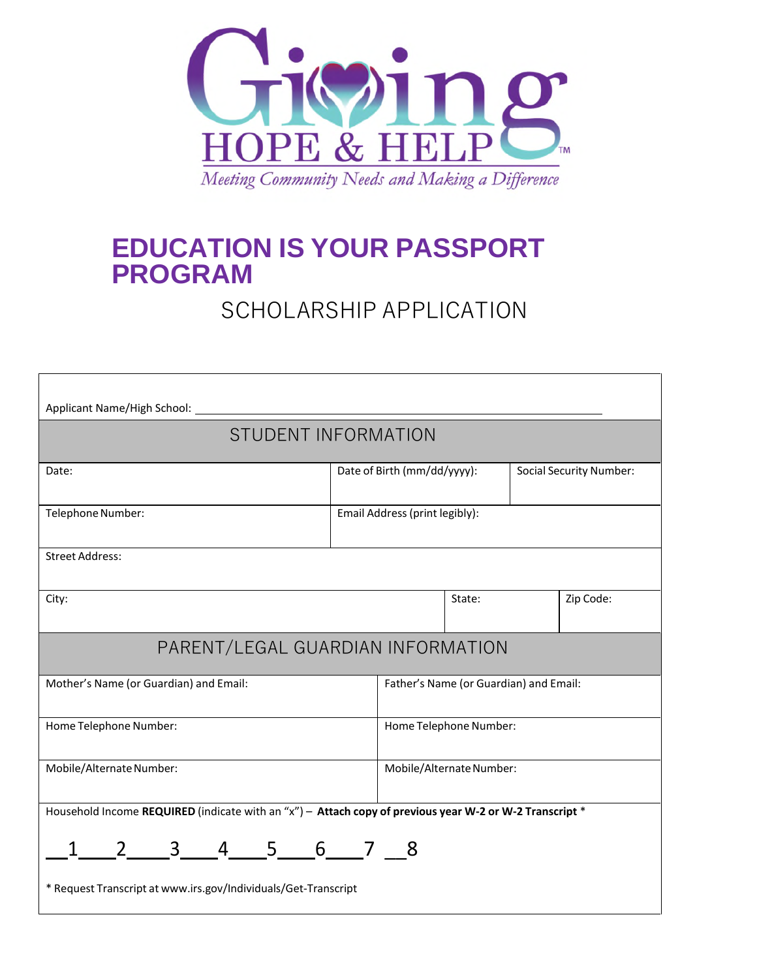

## **EDUCATION IS YOUR PASSPORT PROGRAM**

## SCHOLARSHIP APPLICATION

| Applicant Name/High School: _                                                                           |                                |                                        |                                |  |           |  |
|---------------------------------------------------------------------------------------------------------|--------------------------------|----------------------------------------|--------------------------------|--|-----------|--|
| <b>STUDENT INFORMATION</b>                                                                              |                                |                                        |                                |  |           |  |
| Date:                                                                                                   | Date of Birth (mm/dd/yyyy):    |                                        | <b>Social Security Number:</b> |  |           |  |
| Telephone Number:                                                                                       | Email Address (print legibly): |                                        |                                |  |           |  |
| <b>Street Address:</b>                                                                                  |                                |                                        |                                |  |           |  |
| City:                                                                                                   |                                |                                        | State:                         |  | Zip Code: |  |
| PARENT/LEGAL GUARDIAN INFORMATION                                                                       |                                |                                        |                                |  |           |  |
| Mother's Name (or Guardian) and Email:                                                                  |                                | Father's Name (or Guardian) and Email: |                                |  |           |  |
| Home Telephone Number:                                                                                  |                                | Home Telephone Number:                 |                                |  |           |  |
| Mobile/Alternate Number:                                                                                |                                | Mobile/Alternate Number:               |                                |  |           |  |
| Household Income REQUIRED (indicate with an "x") - Attach copy of previous year W-2 or W-2 Transcript * |                                |                                        |                                |  |           |  |
| 2 3 4 5 6 7 8<br>* Request Transcript at www.irs.gov/Individuals/Get-Transcript                         |                                |                                        |                                |  |           |  |
|                                                                                                         |                                |                                        |                                |  |           |  |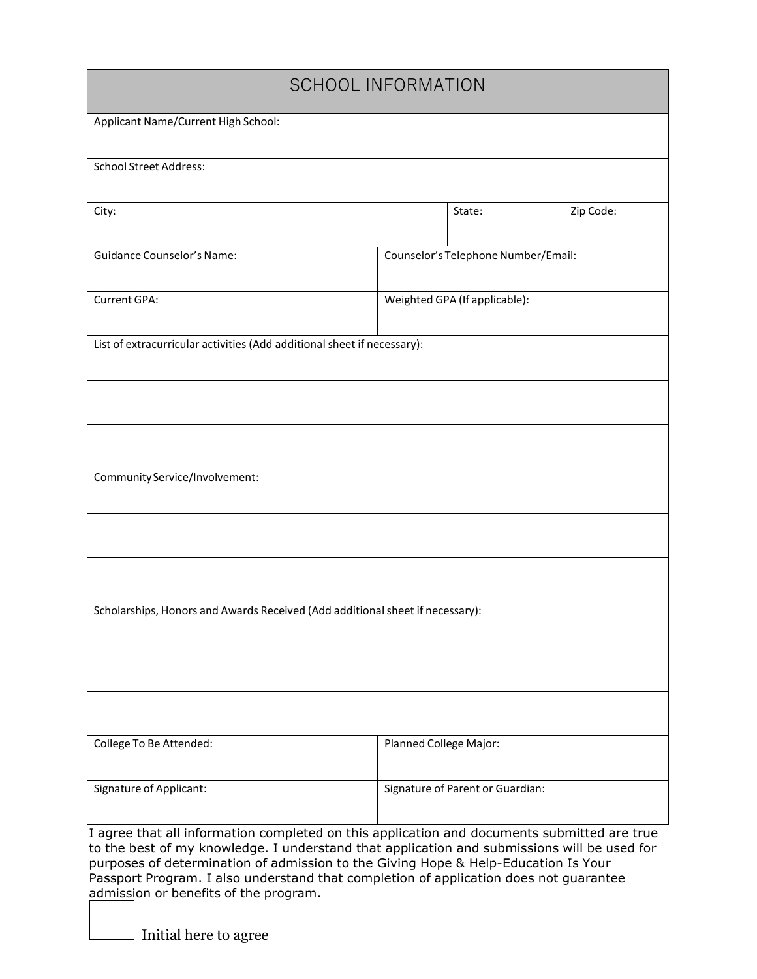| <b>SCHOOL INFORMATION</b>                                                                                                                                                                  |                                     |                                  |           |  |  |
|--------------------------------------------------------------------------------------------------------------------------------------------------------------------------------------------|-------------------------------------|----------------------------------|-----------|--|--|
| Applicant Name/Current High School:                                                                                                                                                        |                                     |                                  |           |  |  |
| <b>School Street Address:</b>                                                                                                                                                              |                                     |                                  |           |  |  |
| City:                                                                                                                                                                                      |                                     | State:                           | Zip Code: |  |  |
| <b>Guidance Counselor's Name:</b>                                                                                                                                                          | Counselor's Telephone Number/Email: |                                  |           |  |  |
| Current GPA:                                                                                                                                                                               | Weighted GPA (If applicable):       |                                  |           |  |  |
| List of extracurricular activities (Add additional sheet if necessary):                                                                                                                    |                                     |                                  |           |  |  |
|                                                                                                                                                                                            |                                     |                                  |           |  |  |
|                                                                                                                                                                                            |                                     |                                  |           |  |  |
| Community Service/Involvement:                                                                                                                                                             |                                     |                                  |           |  |  |
|                                                                                                                                                                                            |                                     |                                  |           |  |  |
|                                                                                                                                                                                            |                                     |                                  |           |  |  |
| Scholarships, Honors and Awards Received (Add additional sheet if necessary):                                                                                                              |                                     |                                  |           |  |  |
|                                                                                                                                                                                            |                                     |                                  |           |  |  |
|                                                                                                                                                                                            |                                     |                                  |           |  |  |
| College To Be Attended:                                                                                                                                                                    | Planned College Major:              |                                  |           |  |  |
| Signature of Applicant:                                                                                                                                                                    |                                     | Signature of Parent or Guardian: |           |  |  |
| I agree that all information completed on this application and documents submitted are true<br>to the best of my knowledge. I understand that application and submissions will be used for |                                     |                                  |           |  |  |

purposes of determination of admission to the Giving Hope & Help-Education Is Your Passport Program. I also understand that completion of application does not guarantee admission or benefits of the program.

Initial here to agree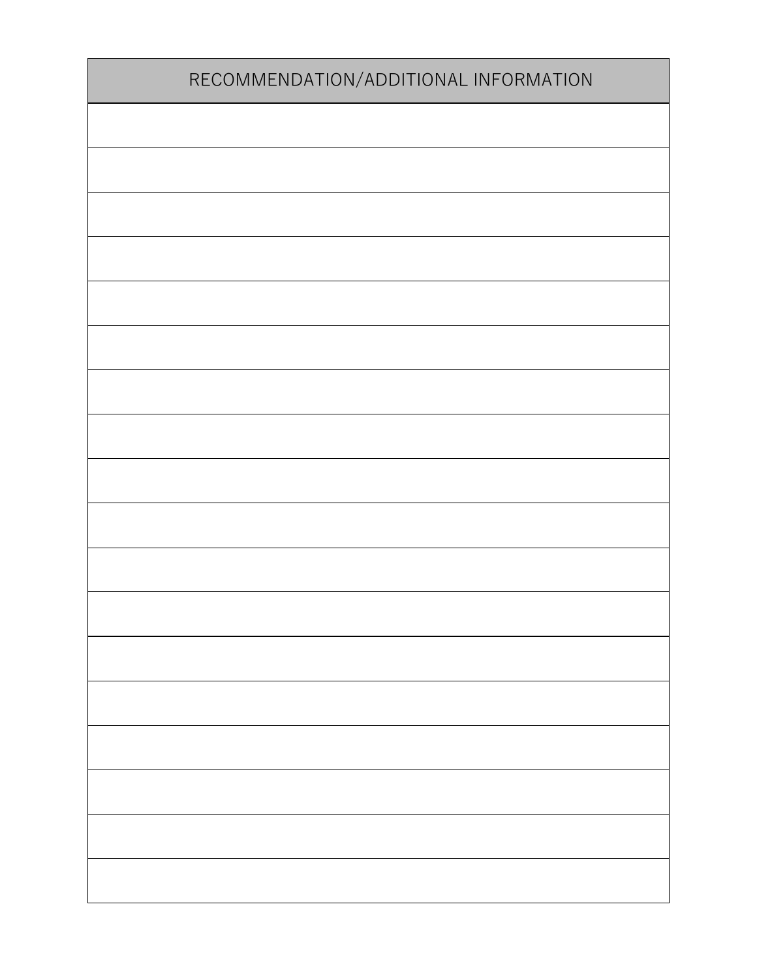| RECOMMENDATION/ADDITIONAL INFORMATION |  |  |
|---------------------------------------|--|--|
|                                       |  |  |
|                                       |  |  |
|                                       |  |  |
|                                       |  |  |
|                                       |  |  |
|                                       |  |  |
|                                       |  |  |
|                                       |  |  |
|                                       |  |  |
|                                       |  |  |
|                                       |  |  |
|                                       |  |  |
|                                       |  |  |
|                                       |  |  |
|                                       |  |  |
|                                       |  |  |
|                                       |  |  |
|                                       |  |  |
|                                       |  |  |